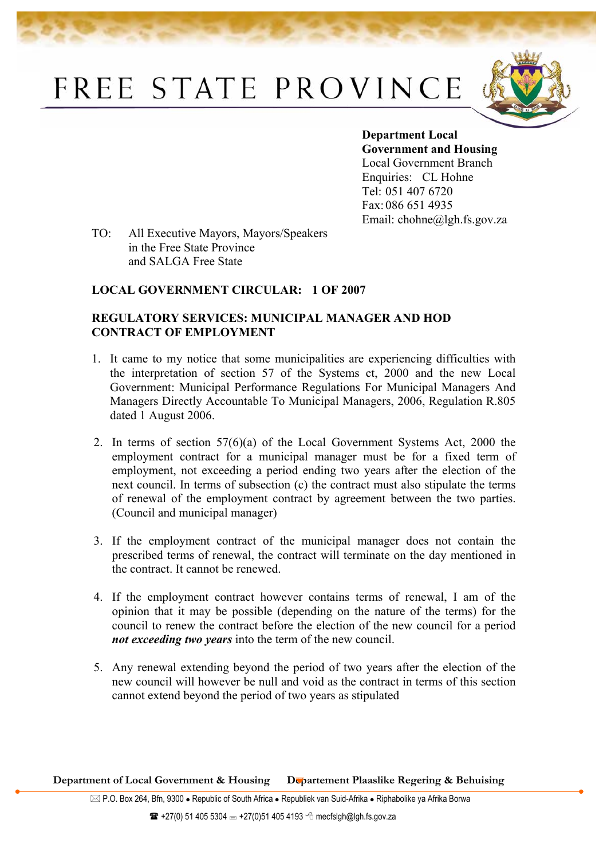## FREE STATE PROVINCE



**Department Local Government and Housing**  Local Government Branch Enquiries: CL Hohne Tel: 051 407 6720 Fax: 086 651 4935 Email: chohne@lgh.fs.gov.za

TO: All Executive Mayors, Mayors/Speakers in the Free State Province and SALGA Free State

## **LOCAL GOVERNMENT CIRCULAR: 1 OF 2007**

## **REGULATORY SERVICES: MUNICIPAL MANAGER AND HOD CONTRACT OF EMPLOYMENT**

- 1. It came to my notice that some municipalities are experiencing difficulties with the interpretation of section 57 of the Systems ct, 2000 and the new Local Government: Municipal Performance Regulations For Municipal Managers And Managers Directly Accountable To Municipal Managers, 2006, Regulation R.805 dated 1 August 2006.
- 2. In terms of section 57(6)(a) of the Local Government Systems Act, 2000 the employment contract for a municipal manager must be for a fixed term of employment, not exceeding a period ending two years after the election of the next council. In terms of subsection (c) the contract must also stipulate the terms of renewal of the employment contract by agreement between the two parties. (Council and municipal manager)
- 3. If the employment contract of the municipal manager does not contain the prescribed terms of renewal, the contract will terminate on the day mentioned in the contract. It cannot be renewed.
- 4. If the employment contract however contains terms of renewal, I am of the opinion that it may be possible (depending on the nature of the terms) for the council to renew the contract before the election of the new council for a period *not exceeding two years* into the term of the new council.
- 5. Any renewal extending beyond the period of two years after the election of the new council will however be null and void as the contract in terms of this section cannot extend beyond the period of two years as stipulated